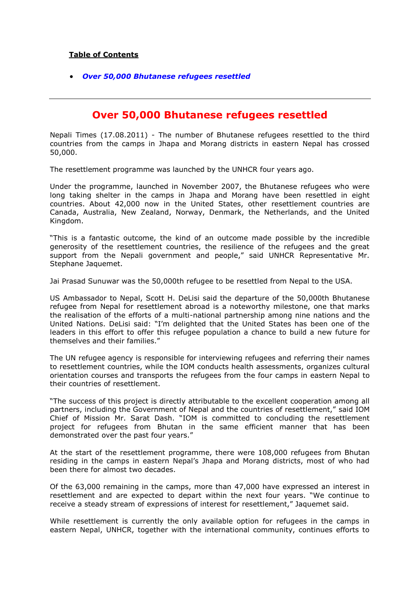## **Table of Contents**

*[Over 50,000 Bhutanese refugees resettled](#page-0-0)*

## **Over 50,000 Bhutanese refugees resettled**

<span id="page-0-0"></span>Nepali Times (17.08.2011) - The number of Bhutanese refugees resettled to the third countries from the camps in Jhapa and Morang districts in eastern Nepal has crossed 50,000.

The resettlement programme was launched by the UNHCR four years ago.

Under the programme, launched in November 2007, the Bhutanese refugees who were long taking shelter in the camps in Jhapa and Morang have been resettled in eight countries. About 42,000 now in the United States, other resettlement countries are Canada, Australia, New Zealand, Norway, Denmark, the Netherlands, and the United Kingdom.

"This is a fantastic outcome, the kind of an outcome made possible by the incredible generosity of the resettlement countries, the resilience of the refugees and the great support from the Nepali government and people," said UNHCR Representative Mr. Stephane Jaquemet.

Jai Prasad Sunuwar was the 50,000th refugee to be resettled from Nepal to the USA.

US Ambassador to Nepal, Scott H. DeLisi said the departure of the 50,000th Bhutanese refugee from Nepal for resettlement abroad is a noteworthy milestone, one that marks the realisation of the efforts of a multi-national partnership among nine nations and the United Nations. DeLisi said: "I'm delighted that the United States has been one of the leaders in this effort to offer this refugee population a chance to build a new future for themselves and their families."

The UN refugee agency is responsible for interviewing refugees and referring their names to resettlement countries, while the IOM conducts health assessments, organizes cultural orientation courses and transports the refugees from the four camps in eastern Nepal to their countries of resettlement.

"The success of this project is directly attributable to the excellent cooperation among all partners, including the Government of Nepal and the countries of resettlement," said IOM Chief of Mission Mr. Sarat Dash. "IOM is committed to concluding the resettlement project for refugees from Bhutan in the same efficient manner that has been demonstrated over the past four years."

At the start of the resettlement programme, there were 108,000 refugees from Bhutan residing in the camps in eastern Nepal's Jhapa and Morang districts, most of who had been there for almost two decades.

Of the 63,000 remaining in the camps, more than 47,000 have expressed an interest in resettlement and are expected to depart within the next four years. "We continue to receive a steady stream of expressions of interest for resettlement," Jaquemet said.

While resettlement is currently the only available option for refugees in the camps in eastern Nepal, UNHCR, together with the international community, continues efforts to